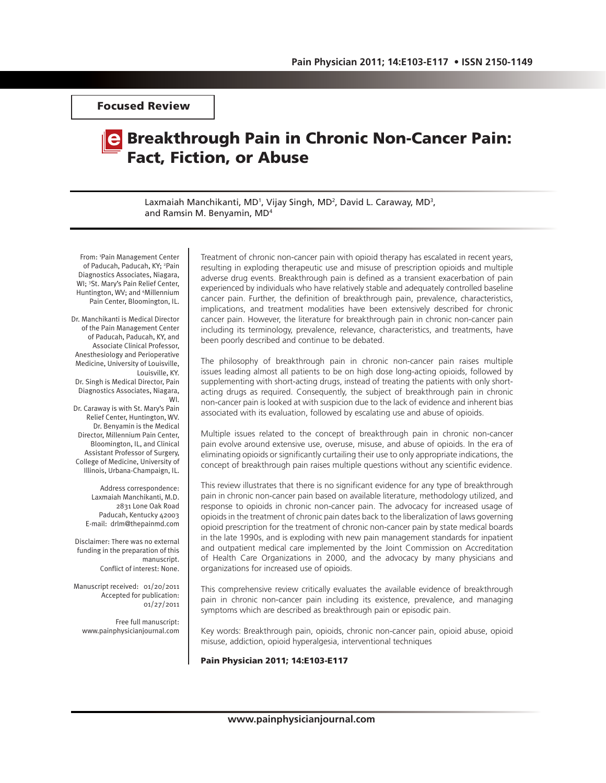Focused Review

# Breakthrough Pain in Chronic Non-Cancer Pain: Fact, Fiction, or Abuse

Laxmaiah Manchikanti, MD<sup>1</sup>, Vijay Singh, MD<sup>2</sup>, David L. Caraway, MD<sup>3</sup>, and Ramsin M. Benyamin, MD4

From: 1 Pain Management Center of Paducah, Paducah, KY; <sup>2</sup>Pain Diagnostics Associates, Niagara, WI; 3 St. Mary's Pain Relief Center, Huntington, WV; and 4 Millennium Pain Center, Bloomington, IL.

Dr. Manchikanti is Medical Director of the Pain Management Center of Paducah, Paducah, KY, and Associate Clinical Professor, Anesthesiology and Perioperative Medicine, University of Louisville, Louisville, KY.

Dr. Singh is Medical Director, Pain Diagnostics Associates, Niagara, WI.

Dr. Caraway is with St. Mary's Pain Relief Center, Huntington, WV. Dr. Benyamin is the Medical Director, Millennium Pain Center, Bloomington, IL, and Clinical Assistant Professor of Surgery, College of Medicine, University of Illinois, Urbana-Champaign, IL.

> Address correspondence: Laxmaiah Manchikanti, M.D. 2831 Lone Oak Road Paducah, Kentucky 42003 E-mail: drlm@thepainmd.com

Disclaimer: There was no external funding in the preparation of this manuscript. Conflict of interest: None.

Manuscript received: 01/20/2011 Accepted for publication: 01/27/2011

Free full manuscript: www.painphysicianjournal.com

Treatment of chronic non-cancer pain with opioid therapy has escalated in recent years, resulting in exploding therapeutic use and misuse of prescription opioids and multiple adverse drug events. Breakthrough pain is defined as a transient exacerbation of pain experienced by individuals who have relatively stable and adequately controlled baseline cancer pain. Further, the definition of breakthrough pain, prevalence, characteristics, implications, and treatment modalities have been extensively described for chronic cancer pain. However, the literature for breakthrough pain in chronic non-cancer pain including its terminology, prevalence, relevance, characteristics, and treatments, have been poorly described and continue to be debated.

The philosophy of breakthrough pain in chronic non-cancer pain raises multiple issues leading almost all patients to be on high dose long-acting opioids, followed by supplementing with short-acting drugs, instead of treating the patients with only shortacting drugs as required. Consequently, the subject of breakthrough pain in chronic non-cancer pain is looked at with suspicion due to the lack of evidence and inherent bias associated with its evaluation, followed by escalating use and abuse of opioids.

Multiple issues related to the concept of breakthrough pain in chronic non-cancer pain evolve around extensive use, overuse, misuse, and abuse of opioids. In the era of eliminating opioids or significantly curtailing their use to only appropriate indications, the concept of breakthrough pain raises multiple questions without any scientific evidence.

This review illustrates that there is no significant evidence for any type of breakthrough pain in chronic non-cancer pain based on available literature, methodology utilized, and response to opioids in chronic non-cancer pain. The advocacy for increased usage of opioids in the treatment of chronic pain dates back to the liberalization of laws governing opioid prescription for the treatment of chronic non-cancer pain by state medical boards in the late 1990s, and is exploding with new pain management standards for inpatient and outpatient medical care implemented by the Joint Commission on Accreditation of Health Care Organizations in 2000, and the advocacy by many physicians and organizations for increased use of opioids.

This comprehensive review critically evaluates the available evidence of breakthrough pain in chronic non-cancer pain including its existence, prevalence, and managing symptoms which are described as breakthrough pain or episodic pain.

Key words: Breakthrough pain, opioids, chronic non-cancer pain, opioid abuse, opioid misuse, addiction, opioid hyperalgesia, interventional techniques

#### Pain Physician 2011; 14:E103-E117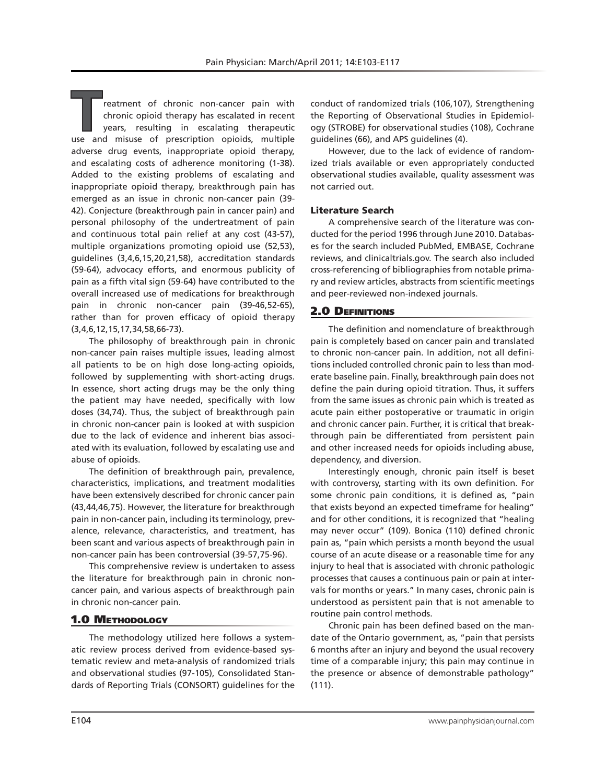reatment of chronic non-cancer pain with chronic opioid therapy has escalated in recent years, resulting in escalating therapeutic use and misuse of prescription opioids, multiple adverse drug events, inappropriate opioid therapy, and escalating costs of adherence monitoring (1-38). Added to the existing problems of escalating and inappropriate opioid therapy, breakthrough pain has emerged as an issue in chronic non-cancer pain (39- 42). Conjecture (breakthrough pain in cancer pain) and personal philosophy of the undertreatment of pain and continuous total pain relief at any cost (43-57), multiple organizations promoting opioid use (52,53), guidelines (3,4,6,15,20,21,58), accreditation standards (59-64), advocacy efforts, and enormous publicity of pain as a fifth vital sign (59-64) have contributed to the overall increased use of medications for breakthrough pain in chronic non-cancer pain (39-46,52-65), rather than for proven efficacy of opioid therapy (3,4,6,12,15,17,34,58,66-73).

The philosophy of breakthrough pain in chronic non-cancer pain raises multiple issues, leading almost all patients to be on high dose long-acting opioids, followed by supplementing with short-acting drugs. In essence, short acting drugs may be the only thing the patient may have needed, specifically with low doses (34,74). Thus, the subject of breakthrough pain in chronic non-cancer pain is looked at with suspicion due to the lack of evidence and inherent bias associated with its evaluation, followed by escalating use and abuse of opioids.

The definition of breakthrough pain, prevalence, characteristics, implications, and treatment modalities have been extensively described for chronic cancer pain (43,44,46,75). However, the literature for breakthrough pain in non-cancer pain, including its terminology, prevalence, relevance, characteristics, and treatment, has been scant and various aspects of breakthrough pain in non-cancer pain has been controversial (39-57,75-96).

This comprehensive review is undertaken to assess the literature for breakthrough pain in chronic noncancer pain, and various aspects of breakthrough pain in chronic non-cancer pain.

## **1.0 METHODOLOGY**

The methodology utilized here follows a systematic review process derived from evidence-based systematic review and meta-analysis of randomized trials and observational studies (97-105), Consolidated Standards of Reporting Trials (CONSORT) guidelines for the

conduct of randomized trials (106,107), Strengthening the Reporting of Observational Studies in Epidemiology (STROBE) for observational studies (108), Cochrane guidelines (66), and APS guidelines (4).

However, due to the lack of evidence of randomized trials available or even appropriately conducted observational studies available, quality assessment was not carried out.

#### Literature Search

A comprehensive search of the literature was conducted for the period 1996 through June 2010. Databases for the search included PubMed, EMBASE, Cochrane reviews, and clinicaltrials.gov. The search also included cross-referencing of bibliographies from notable primary and review articles, abstracts from scientific meetings and peer-reviewed non-indexed journals.

#### 2.0 Definitions

The definition and nomenclature of breakthrough pain is completely based on cancer pain and translated to chronic non-cancer pain. In addition, not all definitions included controlled chronic pain to less than moderate baseline pain. Finally, breakthrough pain does not define the pain during opioid titration. Thus, it suffers from the same issues as chronic pain which is treated as acute pain either postoperative or traumatic in origin and chronic cancer pain. Further, it is critical that breakthrough pain be differentiated from persistent pain and other increased needs for opioids including abuse, dependency, and diversion.

Interestingly enough, chronic pain itself is beset with controversy, starting with its own definition. For some chronic pain conditions, it is defined as, "pain that exists beyond an expected timeframe for healing" and for other conditions, it is recognized that "healing may never occur" (109). Bonica (110) defined chronic pain as, "pain which persists a month beyond the usual course of an acute disease or a reasonable time for any injury to heal that is associated with chronic pathologic processes that causes a continuous pain or pain at intervals for months or years." In many cases, chronic pain is understood as persistent pain that is not amenable to routine pain control methods.

Chronic pain has been defined based on the mandate of the Ontario government, as, "pain that persists 6 months after an injury and beyond the usual recovery time of a comparable injury; this pain may continue in the presence or absence of demonstrable pathology" (111).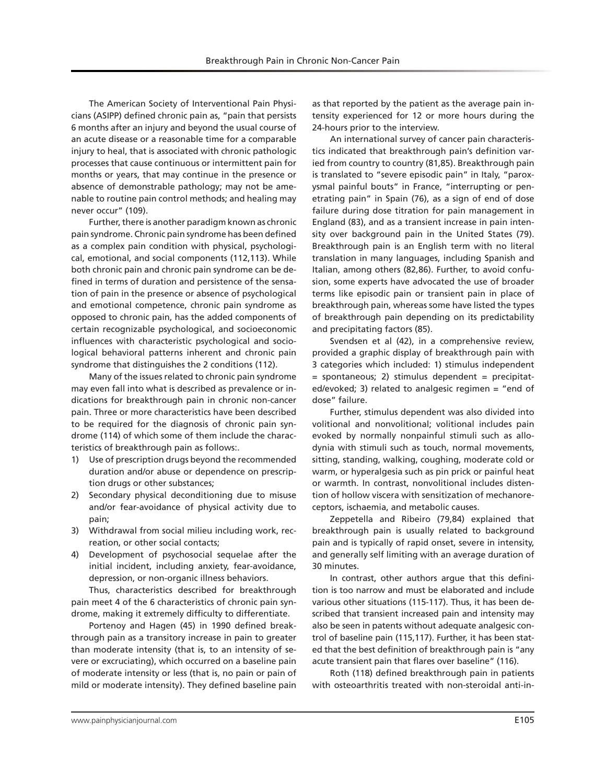The American Society of Interventional Pain Physicians (ASIPP) defined chronic pain as, "pain that persists 6 months after an injury and beyond the usual course of an acute disease or a reasonable time for a comparable injury to heal, that is associated with chronic pathologic processes that cause continuous or intermittent pain for months or years, that may continue in the presence or absence of demonstrable pathology; may not be amenable to routine pain control methods; and healing may never occur" (109).

Further, there is another paradigm known as chronic pain syndrome. Chronic pain syndrome has been defined as a complex pain condition with physical, psychological, emotional, and social components (112,113). While both chronic pain and chronic pain syndrome can be defined in terms of duration and persistence of the sensation of pain in the presence or absence of psychological and emotional competence, chronic pain syndrome as opposed to chronic pain, has the added components of certain recognizable psychological, and socioeconomic influences with characteristic psychological and sociological behavioral patterns inherent and chronic pain syndrome that distinguishes the 2 conditions (112).

Many of the issues related to chronic pain syndrome may even fall into what is described as prevalence or indications for breakthrough pain in chronic non-cancer pain. Three or more characteristics have been described to be required for the diagnosis of chronic pain syndrome (114) of which some of them include the characteristics of breakthrough pain as follows:.

- 1) Use of prescription drugs beyond the recommended duration and/or abuse or dependence on prescription drugs or other substances;
- 2) Secondary physical deconditioning due to misuse and/or fear-avoidance of physical activity due to pain;
- 3) Withdrawal from social milieu including work, recreation, or other social contacts;
- 4) Development of psychosocial sequelae after the initial incident, including anxiety, fear-avoidance, depression, or non-organic illness behaviors.

Thus, characteristics described for breakthrough pain meet 4 of the 6 characteristics of chronic pain syndrome, making it extremely difficulty to differentiate.

Portenoy and Hagen (45) in 1990 defined breakthrough pain as a transitory increase in pain to greater than moderate intensity (that is, to an intensity of severe or excruciating), which occurred on a baseline pain of moderate intensity or less (that is, no pain or pain of mild or moderate intensity). They defined baseline pain

as that reported by the patient as the average pain intensity experienced for 12 or more hours during the 24-hours prior to the interview.

An international survey of cancer pain characteristics indicated that breakthrough pain's definition varied from country to country (81,85). Breakthrough pain is translated to "severe episodic pain" in Italy, "paroxysmal painful bouts" in France, "interrupting or penetrating pain" in Spain (76), as a sign of end of dose failure during dose titration for pain management in England (83), and as a transient increase in pain intensity over background pain in the United States (79). Breakthrough pain is an English term with no literal translation in many languages, including Spanish and Italian, among others (82,86). Further, to avoid confusion, some experts have advocated the use of broader terms like episodic pain or transient pain in place of breakthrough pain, whereas some have listed the types of breakthrough pain depending on its predictability and precipitating factors (85).

Svendsen et al (42), in a comprehensive review, provided a graphic display of breakthrough pain with 3 categories which included: 1) stimulus independent = spontaneous; 2) stimulus dependent = precipitated/evoked; 3) related to analgesic regimen = "end of dose" failure.

Further, stimulus dependent was also divided into volitional and nonvolitional; volitional includes pain evoked by normally nonpainful stimuli such as allodynia with stimuli such as touch, normal movements, sitting, standing, walking, coughing, moderate cold or warm, or hyperalgesia such as pin prick or painful heat or warmth. In contrast, nonvolitional includes distention of hollow viscera with sensitization of mechanoreceptors, ischaemia, and metabolic causes.

Zeppetella and Ribeiro (79,84) explained that breakthrough pain is usually related to background pain and is typically of rapid onset, severe in intensity, and generally self limiting with an average duration of 30 minutes.

In contrast, other authors argue that this definition is too narrow and must be elaborated and include various other situations (115-117). Thus, it has been described that transient increased pain and intensity may also be seen in patents without adequate analgesic control of baseline pain (115,117). Further, it has been stated that the best definition of breakthrough pain is "any acute transient pain that flares over baseline" (116).

Roth (118) defined breakthrough pain in patients with osteoarthritis treated with non-steroidal anti-in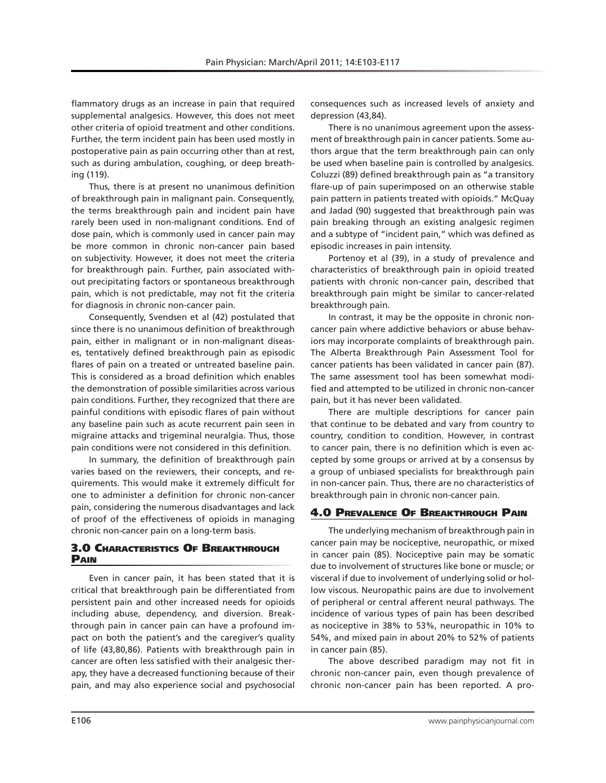flammatory drugs as an increase in pain that required supplemental analgesics. However, this does not meet other criteria of opioid treatment and other conditions. Further, the term incident pain has been used mostly in postoperative pain as pain occurring other than at rest, such as during ambulation, coughing, or deep breathing (119).

Thus, there is at present no unanimous definition of breakthrough pain in malignant pain. Consequently, the terms breakthrough pain and incident pain have rarely been used in non-malignant conditions. End of dose pain, which is commonly used in cancer pain may be more common in chronic non-cancer pain based on subjectivity. However, it does not meet the criteria for breakthrough pain. Further, pain associated without precipitating factors or spontaneous breakthrough pain, which is not predictable, may not fit the criteria for diagnosis in chronic non-cancer pain.

Consequently, Svendsen et al (42) postulated that since there is no unanimous definition of breakthrough pain, either in malignant or in non-malignant diseases, tentatively defined breakthrough pain as episodic flares of pain on a treated or untreated baseline pain. This is considered as a broad definition which enables the demonstration of possible similarities across various pain conditions. Further, they recognized that there are painful conditions with episodic flares of pain without any baseline pain such as acute recurrent pain seen in migraine attacks and trigeminal neuralgia. Thus, those pain conditions were not considered in this definition.

In summary, the definition of breakthrough pain varies based on the reviewers, their concepts, and requirements. This would make it extremely difficult for one to administer a definition for chronic non-cancer pain, considering the numerous disadvantages and lack of proof of the effectiveness of opioids in managing chronic non-cancer pain on a long-term basis.

# 3.0 Characteristics Of Breakthrough Pain

Even in cancer pain, it has been stated that it is critical that breakthrough pain be differentiated from persistent pain and other increased needs for opioids including abuse, dependency, and diversion. Breakthrough pain in cancer pain can have a profound impact on both the patient's and the caregiver's quality of life (43,80,86). Patients with breakthrough pain in cancer are often less satisfied with their analgesic therapy, they have a decreased functioning because of their pain, and may also experience social and psychosocial

consequences such as increased levels of anxiety and depression (43,84).

There is no unanimous agreement upon the assessment of breakthrough pain in cancer patients. Some authors argue that the term breakthrough pain can only be used when baseline pain is controlled by analgesics. Coluzzi (89) defined breakthrough pain as "a transitory flare-up of pain superimposed on an otherwise stable pain pattern in patients treated with opioids." McQuay and Jadad (90) suggested that breakthrough pain was pain breaking through an existing analgesic regimen and a subtype of "incident pain," which was defined as episodic increases in pain intensity.

Portenoy et al (39), in a study of prevalence and characteristics of breakthrough pain in opioid treated patients with chronic non-cancer pain, described that breakthrough pain might be similar to cancer-related breakthrough pain.

In contrast, it may be the opposite in chronic noncancer pain where addictive behaviors or abuse behaviors may incorporate complaints of breakthrough pain. The Alberta Breakthrough Pain Assessment Tool for cancer patients has been validated in cancer pain (87). The same assessment tool has been somewhat modified and attempted to be utilized in chronic non-cancer pain, but it has never been validated.

There are multiple descriptions for cancer pain that continue to be debated and vary from country to country, condition to condition. However, in contrast to cancer pain, there is no definition which is even accepted by some groups or arrived at by a consensus by a group of unbiased specialists for breakthrough pain in non-cancer pain. Thus, there are no characteristics of breakthrough pain in chronic non-cancer pain.

# 4.0 Prevalence Of Breakthrough Pain

The underlying mechanism of breakthrough pain in cancer pain may be nociceptive, neuropathic, or mixed in cancer pain (85). Nociceptive pain may be somatic due to involvement of structures like bone or muscle; or visceral if due to involvement of underlying solid or hollow viscous. Neuropathic pains are due to involvement of peripheral or central afferent neural pathways. The incidence of various types of pain has been described as nociceptive in 38% to 53%, neuropathic in 10% to 54%, and mixed pain in about 20% to 52% of patients in cancer pain (85).

The above described paradigm may not fit in chronic non-cancer pain, even though prevalence of chronic non-cancer pain has been reported. A pro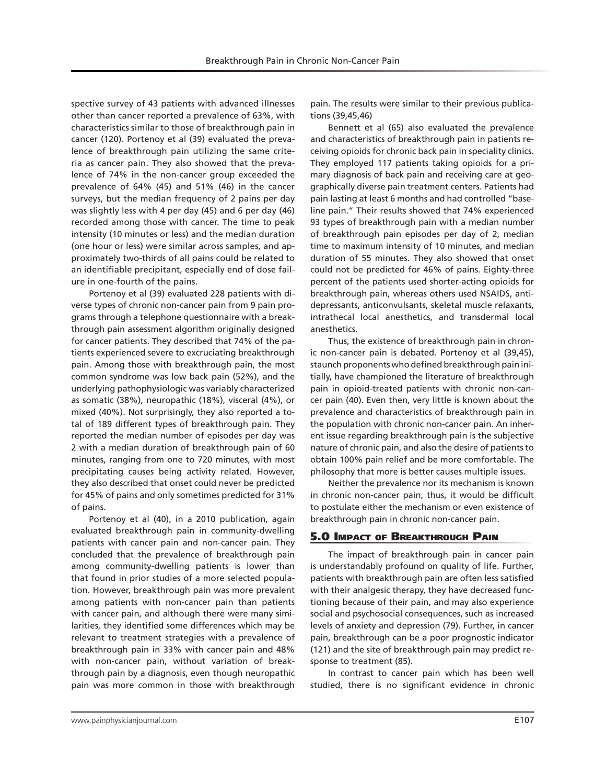spective survey of 43 patients with advanced illnesses other than cancer reported a prevalence of 63%, with characteristics similar to those of breakthrough pain in cancer (120). Portenoy et al (39) evaluated the prevalence of breakthrough pain utilizing the same criteria as cancer pain. They also showed that the prevalence of 74% in the non-cancer group exceeded the prevalence of 64% (45) and 51% (46) in the cancer surveys, but the median frequency of 2 pains per day was slightly less with 4 per day (45) and 6 per day (46) recorded among those with cancer. The time to peak intensity (10 minutes or less) and the median duration (one hour or less) were similar across samples, and approximately two-thirds of all pains could be related to an identifiable precipitant, especially end of dose failure in one-fourth of the pains.

Portenoy et al (39) evaluated 228 patients with diverse types of chronic non-cancer pain from 9 pain programs through a telephone questionnaire with a breakthrough pain assessment algorithm originally designed for cancer patients. They described that 74% of the patients experienced severe to excruciating breakthrough pain. Among those with breakthrough pain, the most common syndrome was low back pain (52%), and the underlying pathophysiologic was variably characterized as somatic (38%), neuropathic (18%), visceral (4%), or mixed (40%). Not surprisingly, they also reported a total of 189 different types of breakthrough pain. They reported the median number of episodes per day was 2 with a median duration of breakthrough pain of 60 minutes, ranging from one to 720 minutes, with most precipitating causes being activity related. However, they also described that onset could never be predicted for 45% of pains and only sometimes predicted for 31% of pains.

Portenoy et al (40), in a 2010 publication, again evaluated breakthrough pain in community-dwelling patients with cancer pain and non-cancer pain. They concluded that the prevalence of breakthrough pain among community-dwelling patients is lower than that found in prior studies of a more selected population. However, breakthrough pain was more prevalent among patients with non-cancer pain than patients with cancer pain, and although there were many similarities, they identified some differences which may be relevant to treatment strategies with a prevalence of breakthrough pain in 33% with cancer pain and 48% with non-cancer pain, without variation of breakthrough pain by a diagnosis, even though neuropathic pain was more common in those with breakthrough

pain. The results were similar to their previous publications (39,45,46)

Bennett et al (65) also evaluated the prevalence and characteristics of breakthrough pain in patients receiving opioids for chronic back pain in speciality clinics. They employed 117 patients taking opioids for a primary diagnosis of back pain and receiving care at geographically diverse pain treatment centers. Patients had pain lasting at least 6 months and had controlled "baseline pain." Their results showed that 74% experienced 93 types of breakthrough pain with a median number of breakthrough pain episodes per day of 2, median time to maximum intensity of 10 minutes, and median duration of 55 minutes. They also showed that onset could not be predicted for 46% of pains. Eighty-three percent of the patients used shorter-acting opioids for breakthrough pain, whereas others used NSAIDS, antidepressants, anticonvulsants, skeletal muscle relaxants, intrathecal local anesthetics, and transdermal local anesthetics.

Thus, the existence of breakthrough pain in chronic non-cancer pain is debated. Portenoy et al (39,45), staunch proponents who defined breakthrough pain initially, have championed the literature of breakthrough pain in opioid-treated patients with chronic non-cancer pain (40). Even then, very little is known about the prevalence and characteristics of breakthrough pain in the population with chronic non-cancer pain. An inherent issue regarding breakthrough pain is the subjective nature of chronic pain, and also the desire of patients to obtain 100% pain relief and be more comfortable. The philosophy that more is better causes multiple issues.

Neither the prevalence nor its mechanism is known in chronic non-cancer pain, thus, it would be difficult to postulate either the mechanism or even existence of breakthrough pain in chronic non-cancer pain.

## 5.0 Impact of Breakthrough Pain

The impact of breakthrough pain in cancer pain is understandably profound on quality of life. Further, patients with breakthrough pain are often less satisfied with their analgesic therapy, they have decreased functioning because of their pain, and may also experience social and psychosocial consequences, such as increased levels of anxiety and depression (79). Further, in cancer pain, breakthrough can be a poor prognostic indicator (121) and the site of breakthrough pain may predict response to treatment (85).

In contrast to cancer pain which has been well studied, there is no significant evidence in chronic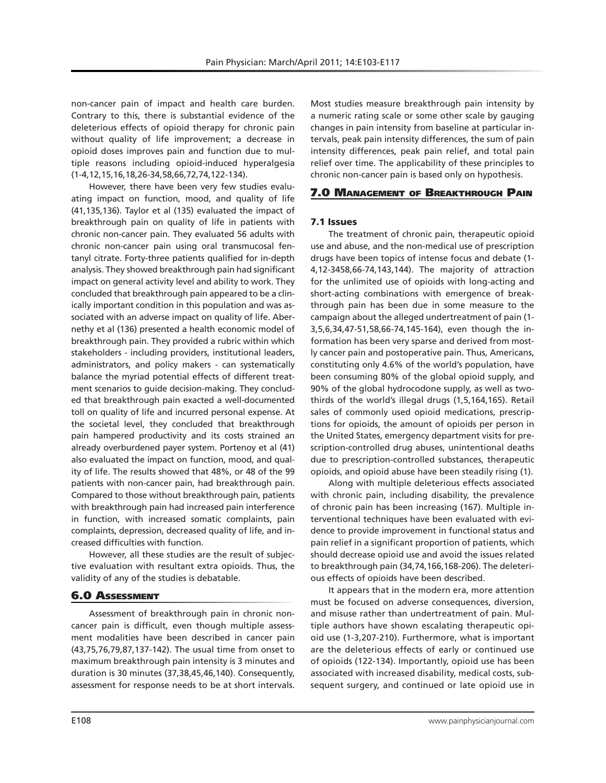non-cancer pain of impact and health care burden. Contrary to this, there is substantial evidence of the deleterious effects of opioid therapy for chronic pain without quality of life improvement; a decrease in opioid doses improves pain and function due to multiple reasons including opioid-induced hyperalgesia (1-4,12,15,16,18,26-34,58,66,72,74,122-134).

However, there have been very few studies evaluating impact on function, mood, and quality of life (41,135,136). Taylor et al (135) evaluated the impact of breakthrough pain on quality of life in patients with chronic non-cancer pain. They evaluated 56 adults with chronic non-cancer pain using oral transmucosal fentanyl citrate. Forty-three patients qualified for in-depth analysis. They showed breakthrough pain had significant impact on general activity level and ability to work. They concluded that breakthrough pain appeared to be a clinically important condition in this population and was associated with an adverse impact on quality of life. Abernethy et al (136) presented a health economic model of breakthrough pain. They provided a rubric within which stakeholders - including providers, institutional leaders, administrators, and policy makers - can systematically balance the myriad potential effects of different treatment scenarios to guide decision-making. They concluded that breakthrough pain exacted a well-documented toll on quality of life and incurred personal expense. At the societal level, they concluded that breakthrough pain hampered productivity and its costs strained an already overburdened payer system. Portenoy et al (41) also evaluated the impact on function, mood, and quality of life. The results showed that 48%, or 48 of the 99 patients with non-cancer pain, had breakthrough pain. Compared to those without breakthrough pain, patients with breakthrough pain had increased pain interference in function, with increased somatic complaints, pain complaints, depression, decreased quality of life, and increased difficulties with function.

However, all these studies are the result of subjective evaluation with resultant extra opioids. Thus, the validity of any of the studies is debatable.

# 6.0 Assessment

Assessment of breakthrough pain in chronic noncancer pain is difficult, even though multiple assessment modalities have been described in cancer pain (43,75,76,79,87,137-142). The usual time from onset to maximum breakthrough pain intensity is 3 minutes and duration is 30 minutes (37,38,45,46,140). Consequently, assessment for response needs to be at short intervals.

Most studies measure breakthrough pain intensity by a numeric rating scale or some other scale by gauging changes in pain intensity from baseline at particular intervals, peak pain intensity differences, the sum of pain intensity differences, peak pain relief, and total pain relief over time. The applicability of these principles to chronic non-cancer pain is based only on hypothesis.

# 7.0 Management of Breakthrough Pain

# 7.1 Issues

The treatment of chronic pain, therapeutic opioid use and abuse, and the non-medical use of prescription drugs have been topics of intense focus and debate (1- 4,12-3458,66-74,143,144). The majority of attraction for the unlimited use of opioids with long-acting and short-acting combinations with emergence of breakthrough pain has been due in some measure to the campaign about the alleged undertreatment of pain (1- 3,5,6,34,47-51,58,66-74,145-164), even though the information has been very sparse and derived from mostly cancer pain and postoperative pain. Thus, Americans, constituting only 4.6% of the world's population, have been consuming 80% of the global opioid supply, and 90% of the global hydrocodone supply, as well as twothirds of the world's illegal drugs (1,5,164,165). Retail sales of commonly used opioid medications, prescriptions for opioids, the amount of opioids per person in the United States, emergency department visits for prescription-controlled drug abuses, unintentional deaths due to prescription-controlled substances, therapeutic opioids, and opioid abuse have been steadily rising (1).

Along with multiple deleterious effects associated with chronic pain, including disability, the prevalence of chronic pain has been increasing (167). Multiple interventional techniques have been evaluated with evidence to provide improvement in functional status and pain relief in a significant proportion of patients, which should decrease opioid use and avoid the issues related to breakthrough pain (34,74,166,168-206). The deleterious effects of opioids have been described.

It appears that in the modern era, more attention must be focused on adverse consequences, diversion, and misuse rather than undertreatment of pain. Multiple authors have shown escalating therapeutic opioid use (1-3,207-210). Furthermore, what is important are the deleterious effects of early or continued use of opioids (122-134). Importantly, opioid use has been associated with increased disability, medical costs, subsequent surgery, and continued or late opioid use in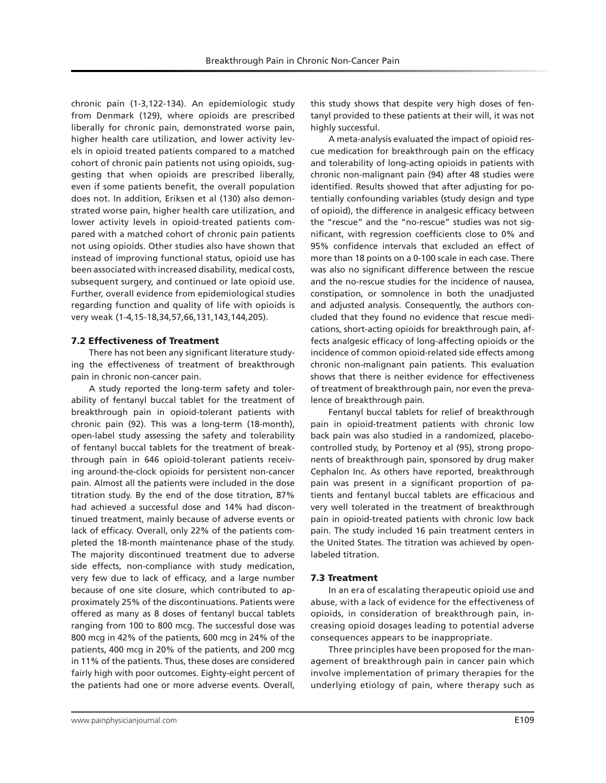chronic pain (1-3,122-134). An epidemiologic study from Denmark (129), where opioids are prescribed liberally for chronic pain, demonstrated worse pain, higher health care utilization, and lower activity levels in opioid treated patients compared to a matched cohort of chronic pain patients not using opioids, suggesting that when opioids are prescribed liberally, even if some patients benefit, the overall population does not. In addition, Eriksen et al (130) also demonstrated worse pain, higher health care utilization, and lower activity levels in opioid-treated patients compared with a matched cohort of chronic pain patients not using opioids. Other studies also have shown that instead of improving functional status, opioid use has been associated with increased disability, medical costs, subsequent surgery, and continued or late opioid use. Further, overall evidence from epidemiological studies regarding function and quality of life with opioids is very weak (1-4,15-18,34,57,66,131,143,144,205).

#### 7.2 Effectiveness of Treatment

There has not been any significant literature studying the effectiveness of treatment of breakthrough pain in chronic non-cancer pain.

A study reported the long-term safety and tolerability of fentanyl buccal tablet for the treatment of breakthrough pain in opioid-tolerant patients with chronic pain (92). This was a long-term (18-month), open-label study assessing the safety and tolerability of fentanyl buccal tablets for the treatment of breakthrough pain in 646 opioid-tolerant patients receiving around-the-clock opioids for persistent non-cancer pain. Almost all the patients were included in the dose titration study. By the end of the dose titration, 87% had achieved a successful dose and 14% had discontinued treatment, mainly because of adverse events or lack of efficacy. Overall, only 22% of the patients completed the 18-month maintenance phase of the study. The majority discontinued treatment due to adverse side effects, non-compliance with study medication, very few due to lack of efficacy, and a large number because of one site closure, which contributed to approximately 25% of the discontinuations. Patients were offered as many as 8 doses of fentanyl buccal tablets ranging from 100 to 800 mcg. The successful dose was 800 mcg in 42% of the patients, 600 mcg in 24% of the patients, 400 mcg in 20% of the patients, and 200 mcg in 11% of the patients. Thus, these doses are considered fairly high with poor outcomes. Eighty-eight percent of the patients had one or more adverse events. Overall,

this study shows that despite very high doses of fentanyl provided to these patients at their will, it was not highly successful.

A meta-analysis evaluated the impact of opioid rescue medication for breakthrough pain on the efficacy and tolerability of long-acting opioids in patients with chronic non-malignant pain (94) after 48 studies were identified. Results showed that after adjusting for potentially confounding variables (study design and type of opioid), the difference in analgesic efficacy between the "rescue" and the "no-rescue" studies was not significant, with regression coefficients close to 0% and 95% confidence intervals that excluded an effect of more than 18 points on a 0-100 scale in each case. There was also no significant difference between the rescue and the no-rescue studies for the incidence of nausea, constipation, or somnolence in both the unadjusted and adjusted analysis. Consequently, the authors concluded that they found no evidence that rescue medications, short-acting opioids for breakthrough pain, affects analgesic efficacy of long-affecting opioids or the incidence of common opioid-related side effects among chronic non-malignant pain patients. This evaluation shows that there is neither evidence for effectiveness of treatment of breakthrough pain, nor even the prevalence of breakthrough pain.

Fentanyl buccal tablets for relief of breakthrough pain in opioid-treatment patients with chronic low back pain was also studied in a randomized, placebocontrolled study, by Portenoy et al (95), strong proponents of breakthrough pain, sponsored by drug maker Cephalon Inc. As others have reported, breakthrough pain was present in a significant proportion of patients and fentanyl buccal tablets are efficacious and very well tolerated in the treatment of breakthrough pain in opioid-treated patients with chronic low back pain. The study included 16 pain treatment centers in the United States. The titration was achieved by openlabeled titration.

#### 7.3 Treatment

In an era of escalating therapeutic opioid use and abuse, with a lack of evidence for the effectiveness of opioids, in consideration of breakthrough pain, increasing opioid dosages leading to potential adverse consequences appears to be inappropriate.

Three principles have been proposed for the management of breakthrough pain in cancer pain which involve implementation of primary therapies for the underlying etiology of pain, where therapy such as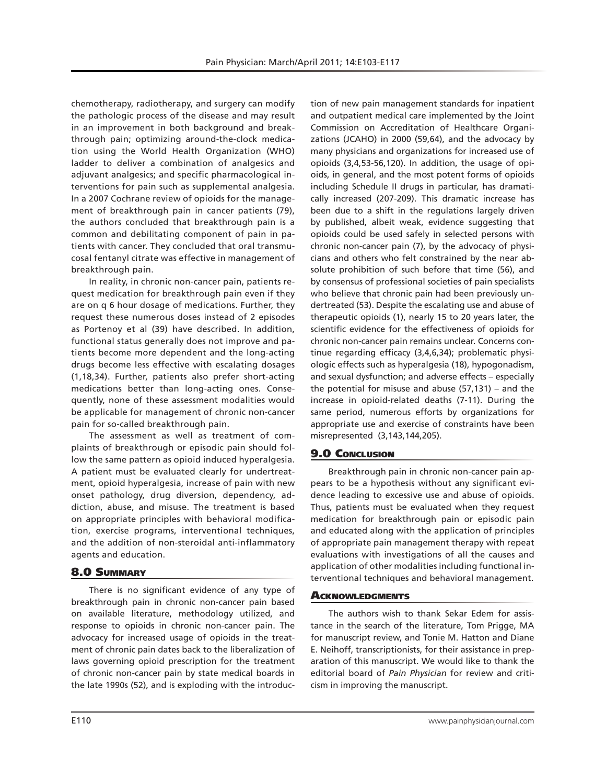chemotherapy, radiotherapy, and surgery can modify the pathologic process of the disease and may result in an improvement in both background and breakthrough pain; optimizing around-the-clock medication using the World Health Organization (WHO) ladder to deliver a combination of analgesics and adjuvant analgesics; and specific pharmacological interventions for pain such as supplemental analgesia. In a 2007 Cochrane review of opioids for the management of breakthrough pain in cancer patients (79), the authors concluded that breakthrough pain is a common and debilitating component of pain in patients with cancer. They concluded that oral transmucosal fentanyl citrate was effective in management of breakthrough pain.

In reality, in chronic non-cancer pain, patients request medication for breakthrough pain even if they are on q 6 hour dosage of medications. Further, they request these numerous doses instead of 2 episodes as Portenoy et al (39) have described. In addition, functional status generally does not improve and patients become more dependent and the long-acting drugs become less effective with escalating dosages (1,18,34). Further, patients also prefer short-acting medications better than long-acting ones. Consequently, none of these assessment modalities would be applicable for management of chronic non-cancer pain for so-called breakthrough pain.

The assessment as well as treatment of complaints of breakthrough or episodic pain should follow the same pattern as opioid induced hyperalgesia. A patient must be evaluated clearly for undertreatment, opioid hyperalgesia, increase of pain with new onset pathology, drug diversion, dependency, addiction, abuse, and misuse. The treatment is based on appropriate principles with behavioral modification, exercise programs, interventional techniques, and the addition of non-steroidal anti-inflammatory agents and education.

## 8.0 Summary

There is no significant evidence of any type of breakthrough pain in chronic non-cancer pain based on available literature, methodology utilized, and response to opioids in chronic non-cancer pain. The advocacy for increased usage of opioids in the treatment of chronic pain dates back to the liberalization of laws governing opioid prescription for the treatment of chronic non-cancer pain by state medical boards in the late 1990s (52), and is exploding with the introduction of new pain management standards for inpatient and outpatient medical care implemented by the Joint Commission on Accreditation of Healthcare Organizations (JCAHO) in 2000 (59,64), and the advocacy by many physicians and organizations for increased use of opioids (3,4,53-56,120). In addition, the usage of opioids, in general, and the most potent forms of opioids including Schedule II drugs in particular, has dramatically increased (207-209). This dramatic increase has been due to a shift in the regulations largely driven by published, albeit weak, evidence suggesting that opioids could be used safely in selected persons with chronic non-cancer pain (7), by the advocacy of physicians and others who felt constrained by the near absolute prohibition of such before that time (56), and by consensus of professional societies of pain specialists who believe that chronic pain had been previously undertreated (53). Despite the escalating use and abuse of therapeutic opioids (1), nearly 15 to 20 years later, the scientific evidence for the effectiveness of opioids for chronic non-cancer pain remains unclear. Concerns continue regarding efficacy (3,4,6,34); problematic physiologic effects such as hyperalgesia (18), hypogonadism, and sexual dysfunction; and adverse effects – especially the potential for misuse and abuse (57,131) – and the increase in opioid-related deaths (7-11). During the same period, numerous efforts by organizations for appropriate use and exercise of constraints have been misrepresented (3,143,144,205).

# **9.0 CONCLUSION**

Breakthrough pain in chronic non-cancer pain appears to be a hypothesis without any significant evidence leading to excessive use and abuse of opioids. Thus, patients must be evaluated when they request medication for breakthrough pain or episodic pain and educated along with the application of principles of appropriate pain management therapy with repeat evaluations with investigations of all the causes and application of other modalities including functional interventional techniques and behavioral management.

## **ACKNOWLEDGMENTS**

The authors wish to thank Sekar Edem for assistance in the search of the literature, Tom Prigge, MA for manuscript review, and Tonie M. Hatton and Diane E. Neihoff, transcriptionists, for their assistance in preparation of this manuscript. We would like to thank the editorial board of *Pain Physician* for review and criticism in improving the manuscript.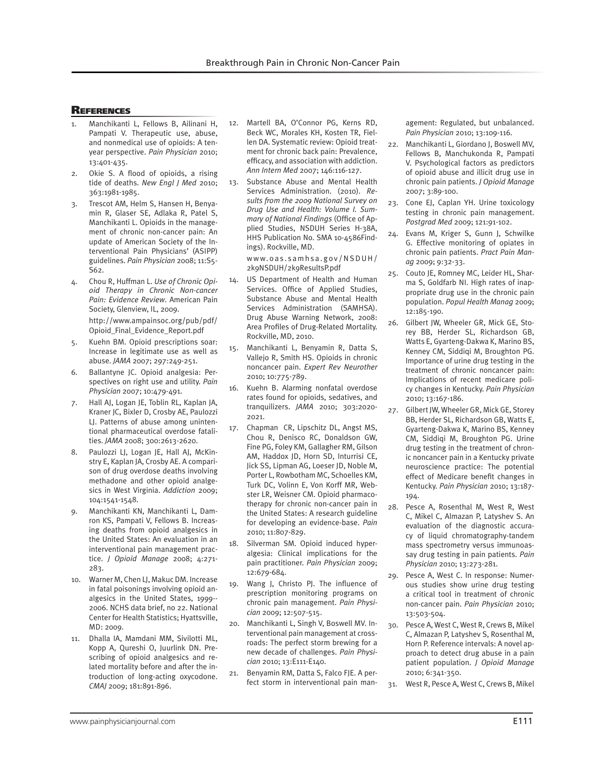#### **REFERENCES**

- 1. Manchikanti L, Fellows B, Ailinani H, Pampati V. Therapeutic use, abuse, and nonmedical use of opioids: A tenyear perspective. *Pain Physician* 2010; 13:401-435.
- 2. Okie S. A flood of opioids, a rising tide of deaths. *New Engl J Med* 2010; 363:1981-1985.
- 3. Trescot AM, Helm S, Hansen H, Benyamin R, Glaser SE, Adlaka R, Patel S, Manchikanti L. Opioids in the management of chronic non-cancer pain: An update of American Society of the Interventional Pain Physicians' (ASIPP) guidelines. *Pain Physician* 2008; 11:S5- S62.
- 4. Chou R, Huffman L. *Use of Chronic Opioid Therapy in Chronic Non-cancer Pain: Evidence Review*. American Pain Society, Glenview, IL, 2009. http://www.ampainsoc.org/pub/pdf/ Opioid\_Final\_Evidence\_Report.pdf
- Kuehn BM. Opioid prescriptions soar: Increase in legitimate use as well as abuse. *JAMA* 2007; 297:249-251.
- 6. Ballantyne JC. Opioid analgesia: Perspectives on right use and utility. *Pain Physician* 2007; 10:479-491.
- Hall AJ, Logan JE, Toblin RL, Kaplan JA, Kraner JC, Bixler D, Crosby AE, Paulozzi LJ. Patterns of abuse among unintentional pharmaceutical overdose fatalities. *JAMA* 2008; 300:2613-2620.
- 8. Paulozzi LJ, Logan JE, Hall AJ, McKinstry E, Kaplan JA, Crosby AE. A comparison of drug overdose deaths involving methadone and other opioid analgesics in West Virginia. *Addiction* 2009; 104:1541-1548.
- 9. Manchikanti KN, Manchikanti L, Damron KS, Pampati V, Fellows B. Increasing deaths from opioid analgesics in the United States: An evaluation in an interventional pain management practice. *J Opioid Manage* 2008; 4:271- 283.
- 10. Warner M, Chen LJ, Makuc DM. Increase in fatal poisonings involving opioid analgesics in the United States, 1999-- 2006. NCHS data brief, no 22. National Center for Health Statistics; Hyattsville, MD: 2009.
- 11. Dhalla IA, Mamdani MM, Sivilotti ML, Kopp A, Qureshi O, Juurlink DN. Prescribing of opioid analgesics and related mortality before and after the introduction of long-acting oxycodone. *CMAJ* 2009; 181:891-896.
- 12. Martell BA, O'Connor PG, Kerns RD, Beck WC, Morales KH, Kosten TR, Fiellen DA. Systematic review: Opioid treatment for chronic back pain: Prevalence, efficacy, and association with addiction. *Ann Intern Med* 2007; 146:116-127.
- 13. Substance Abuse and Mental Health Services Administration. (2010). *Results from the 2009 National Survey on Drug Use and Health: Volume I. Summary of National Findings* (Office of Applied Studies, NSDUH Series H-38A, HHS Publication No. SMA 10-4586Findings). Rockville, MD.

www.oas.samhsa.gov/NSDUH/ 2k9NSDUH/2k9ResultsP.pdf

- 14. US Department of Health and Human Services. Office of Applied Studies, Substance Abuse and Mental Health Services Administration (SAMHSA). Drug Abuse Warning Network, 2008: Area Profiles of Drug-Related Mortality. Rockville, MD, 2010.
- 15. Manchikanti L, Benyamin R, Datta S, Vallejo R, Smith HS. Opioids in chronic noncancer pain. *Expert Rev Neurother* 2010; 10:775-789.
- 16. Kuehn B. Alarming nonfatal overdose rates found for opioids, sedatives, and tranquilizers. *JAMA* 2010; 303:2020- 2021.
- 17. Chapman CR, Lipschitz DL, Angst MS, Chou R, Denisco RC, Donaldson GW, Fine PG, Foley KM, Gallagher RM, Gilson AM, Haddox JD, Horn SD, Inturrisi CE, Jick SS, Lipman AG, Loeser JD, Noble M, Porter L, Rowbotham MC, Schoelles KM, Turk DC, Volinn E, Von Korff MR, Webster LR, Weisner CM. Opioid pharmacotherapy for chronic non-cancer pain in the United States: A research guideline for developing an evidence-base. *Pain* 2010; 11:807-829.
- 18. Silverman SM. Opioid induced hyperalgesia: Clinical implications for the pain practitioner. *Pain Physician* 2009; 12:679-684.
- 19. Wang J, Christo PJ. The influence of prescription monitoring programs on chronic pain management. *Pain Physician* 2009; 12:507-515.
- 20. Manchikanti L, Singh V, Boswell MV. Interventional pain management at crossroads: The perfect storm brewing for a new decade of challenges. *Pain Physician* 2010; 13:E111-E140.
- 21. Benyamin RM, Datta S, Falco FJE. A perfect storm in interventional pain man-

agement: Regulated, but unbalanced. *Pain Physician* 2010; 13:109-116.

- 22. Manchikanti L, Giordano J, Boswell MV, Fellows B, Manchukonda R, Pampati V. Psychological factors as predictors of opioid abuse and illicit drug use in chronic pain patients. *J Opioid Manage*  2007; 3:89-100.
- 23. Cone EJ, Caplan YH. Urine toxicology testing in chronic pain management. *Postgrad Med* 2009; 121:91-102.
- 24. Evans M, Kriger S, Gunn J, Schwilke G. Effective monitoring of opiates in chronic pain patients. *Pract Pain Manag* 2009; 9:32-33.
- 25. Couto JE, Romney MC, Leider HL, Sharma S, Goldfarb NI. High rates of inappropriate drug use in the chronic pain population. *Popul Health Manag* 2009; 12:185-190.
- 26. Gilbert JW, Wheeler GR, Mick GE, Storey BB, Herder SL, Richardson GB, Watts E, Gyarteng-Dakwa K, Marino BS, Kenney CM, Siddiqi M, Broughton PG. Importance of urine drug testing in the treatment of chronic noncancer pain: Implications of recent medicare policy changes in Kentucky. *Pain Physician* 2010; 13:167-186.
- 27. Gilbert JW, Wheeler GR, Mick GE, Storey BB, Herder SL, Richardson GB, Watts E, Gyarteng-Dakwa K, Marino BS, Kenney CM, Siddiqi M, Broughton PG. Urine drug testing in the treatment of chronic noncancer pain in a Kentucky private neuroscience practice: The potential effect of Medicare benefit changes in Kentucky. *Pain Physician* 2010; 13:187- 194.
- 28. Pesce A, Rosenthal M, West R, West C, Mikel C, Almazan P, Latyshev S. An evaluation of the diagnostic accuracy of liquid chromatography-tandem mass spectrometry versus immunoassay drug testing in pain patients. *Pain Physician* 2010; 13:273-281.
- 29. Pesce A, West C. In response: Numerous studies show urine drug testing a critical tool in treatment of chronic non-cancer pain. *Pain Physician* 2010; 13:503-504.
- 30. Pesce A, West C, West R, Crews B, Mikel C, Almazan P, Latyshev S, Rosenthal M, Horn P. Reference intervals: A novel approach to detect drug abuse in a pain patient population. *J Opioid Manage* 2010; 6:341-350.
- 31. West R, Pesce A, West C, Crews B, Mikel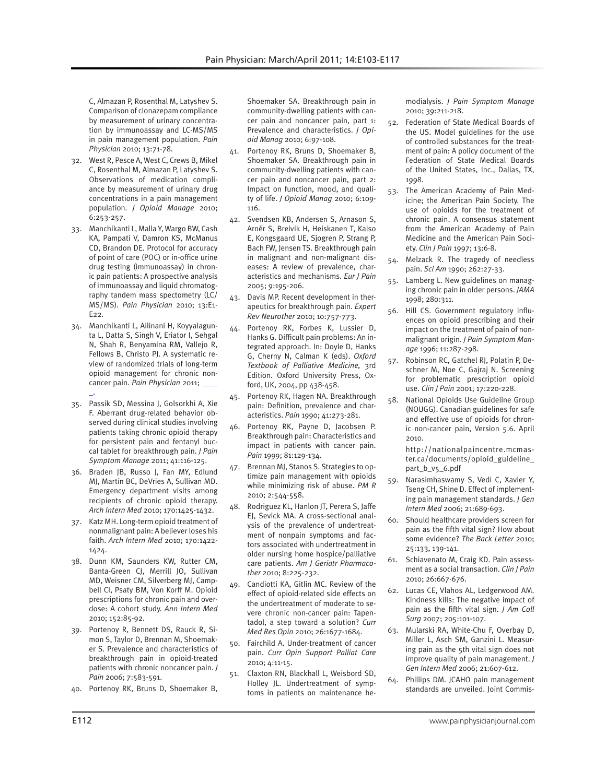C, Almazan P, Rosenthal M, Latyshev S. Comparison of clonazepam compliance by measurement of urinary concentration by immunoassay and LC-MS/MS in pain management population. *Pain Physician* 2010; 13:71-78.

- 32. West R, Pesce A, West C, Crews B, Mikel C, Rosenthal M, Almazan P, Latyshev S. Observations of medication compliance by measurement of urinary drug concentrations in a pain management population. *J Opioid Manage* 2010; 6:253-257.
- 33. Manchikanti L, Malla Y, Wargo BW, Cash KA, Pampati V, Damron KS, McManus CD, Brandon DE. Protocol for accuracy of point of care (POC) or in-office urine drug testing (immunoassay) in chronic pain patients: A prospective analysis of immunoassay and liquid chromatography tandem mass spectometry (LC/ MS/MS). *Pain Physician* 2010; 13:E1- E22.
- 34. Manchikanti L, Ailinani H, Koyyalagunta L, Datta S, Singh V, Eriator I, Sehgal N, Shah R, Benyamina RM, Vallejo R, Fellows B, Christo PJ. A systematic review of randomized trials of long-term opioid management for chronic noncancer pain. *Pain Physician* 2011; \_\_\_\_ \_.
- 35. Passik SD, Messina J, Golsorkhi A, Xie F. Aberrant drug-related behavior observed during clinical studies involving patients taking chronic opioid therapy for persistent pain and fentanyl buccal tablet for breakthrough pain. *J Pain Symptom Manage* 2011; 41:116-125.
- 36. Braden JB, Russo J, Fan MY, Edlund MJ, Martin BC, DeVries A, Sullivan MD. Emergency department visits among recipients of chronic opioid therapy. *Arch Intern Med* 2010; 170:1425-1432.
- 37. Katz MH. Long-term opioid treatment of nonmalignant pain: A believer loses his faith. *Arch Intern Med* 2010; 170:1422- 1424.
- 38. Dunn KM, Saunders KW, Rutter CM, Banta-Green CJ, Merrill JO, Sullivan MD, Weisner CM, Silverberg MJ, Campbell CI, Psaty BM, Von Korff M. Opioid prescriptions for chronic pain and overdose: A cohort study. *Ann Intern Med* 2010; 152:85-92.
- 39. Portenoy R, Bennett DS, Rauck R, Simon S, Taylor D, Brennan M, Shoemaker S. Prevalence and characteristics of breakthrough pain in opioid-treated patients with chronic noncancer pain. *J Pain* 2006; 7:583-591.
- 40. Portenoy RK, Bruns D, Shoemaker B,

Shoemaker SA. Breakthrough pain in community-dwelling patients with cancer pain and noncancer pain, part 1: Prevalence and characteristics. *J Opioid Manag* 2010; 6:97-108.

- 41. Portenoy RK, Bruns D, Shoemaker B, Shoemaker SA. Breakthrough pain in community-dwelling patients with cancer pain and noncancer pain, part 2: Impact on function, mood, and quality of life. *J Opioid Manag* 2010; 6:109- 116.
- 42. Svendsen KB, Andersen S, Arnason S, Arnér S, Breivik H, Heiskanen T, Kalso E, Kongsgaard UE, Sjogren P, Strang P, Bach FW, Jensen TS. Breakthrough pain in malignant and non-malignant diseases: A review of prevalence, characteristics and mechanisms. *Eur J Pain* 2005; 9:195-206.
- 43. Davis MP. Recent development in therapeutics for breakthrough pain. *Expert Rev Neurother* 2010; 10:757-773.
- 44. Portenoy RK, Forbes K, Lussier D, Hanks G*.* Difficult pain problems: An integrated approach. In: Doyle D, Hanks G, Cherny N, Calman K (eds). *Oxford Textbook of Palliative Medicine,* 3rd Edition. Oxford University Press, Oxford, UK, 2004, pp 438-458.
- 45. Portenoy RK, Hagen NA. Breakthrough pain: Definition, prevalence and characteristics. *Pain* 1990; 41:273-281.
- 46. Portenoy RK, Payne D, Jacobsen P. Breakthrough pain: Characteristics and impact in patients with cancer pain. *Pain* 1999; 81:129-134.
- 47. Brennan MJ, Stanos S. Strategies to optimize pain management with opioids while minimizing risk of abuse. *PM R* 2010; 2:544-558.
- 48. Rodriguez KL, Hanlon JT, Perera S, Jaffe EJ, Sevick MA. A cross-sectional analysis of the prevalence of undertreatment of nonpain symptoms and factors associated with undertreatment in older nursing home hospice/palliative care patients. *Am J Geriatr Pharmacother* 2010; 8:225-232.
- 49. Candiotti KA, Gitlin MC. Review of the effect of opioid-related side effects on the undertreatment of moderate to severe chronic non-cancer pain: Tapentadol, a step toward a solution? *Curr Med Res Opin* 2010; 26:1677-1684.
- 50. Fairchild A. Under-treatment of cancer pain. *Curr Opin Support Palliat Care* 2010; 4:11-15.
- 51. Claxton RN, Blackhall L, Weisbord SD, Holley JL. Undertreatment of symptoms in patients on maintenance he-

modialysis. *J Pain Symptom Manage* 2010; 39:211-218.

- 52. Federation of State Medical Boards of the US. Model guidelines for the use of controlled substances for the treatment of pain: A policy document of the Federation of State Medical Boards of the United States, Inc., Dallas, TX, 1998.
- 53. The American Academy of Pain Medicine; the American Pain Society. The use of opioids for the treatment of chronic pain. A consensus statement from the American Academy of Pain Medicine and the American Pain Society. *Clin J Pain* 1997; 13:6-8.
- 54. Melzack R. The tragedy of needless pain. *Sci Am* 1990; 262:27-33.
- 55. Lamberg L. New guidelines on managing chronic pain in older persons. *JAMA* 1998; 280:311.
- 56. Hill CS. Government regulatory influences on opioid prescribing and their impact on the treatment of pain of nonmalignant origin. *J Pain Symptom Manage* 1996; 11:287-298.
- 57. Robinson RC, Gatchel RJ, Polatin P, Deschner M, Noe C, Gajraj N. Screening for problematic prescription opioid use. *Clin J Pain* 2001; 17:220-228.
- 58. National Opioids Use Guideline Group (NOUGG). Canadian guidelines for safe and effective use of opioids for chronic non-cancer pain, Version 5.6. April 2010.

http://nationalpaincentre.mcmaster.ca/documents/opioid\_guideline\_ part\_b\_v5\_6.pdf

- 59. Narasimhaswamy S, Vedi C, Xavier Y, Tseng CH, Shine D. Effect of implementing pain management standards. *J Gen Intern Med* 2006; 21:689-693.
- 60. Should healthcare providers screen for pain as the fifth vital sign? How about some evidence? *The Back Letter* 2010; 25:133, 139-141.
- 61. Schiavenato M, Craig KD. Pain assessment as a social transaction. *Clin J Pain* 2010; 26:667-676.
- 62. Lucas CE, Vlahos AL, Ledgerwood AM. Kindness kills: The negative impact of pain as the fifth vital sign. *J Am Coll Surg* 2007; 205:101-107.
- 63. Mularski RA, White-Chu F, Overbay D, Miller L, Asch SM, Ganzini L. Measuring pain as the 5th vital sign does not improve quality of pain management. *J Gen Intern Med* 2006; 21:607-612.
- 64. Phillips DM. JCAHO pain management standards are unveiled. Joint Commis-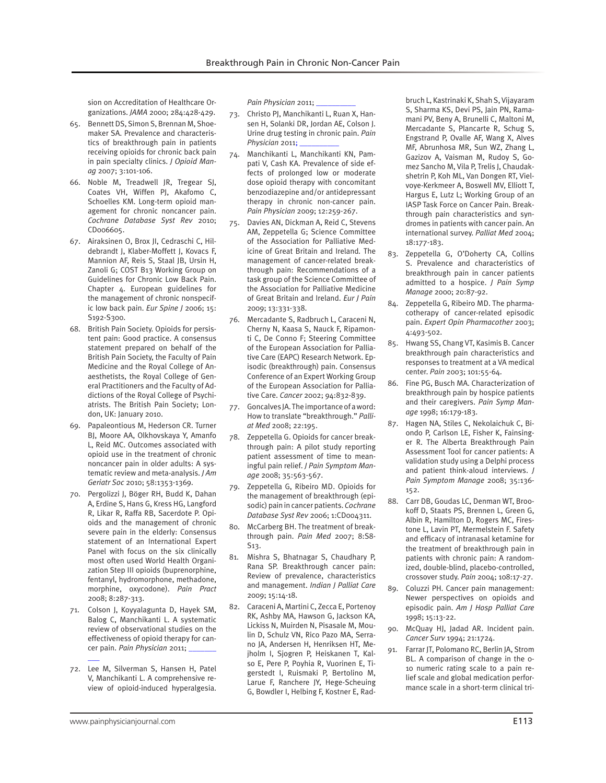sion on Accreditation of Healthcare Organizations. *JAMA* 2000; 284:428-429.

- 65. Bennett DS, Simon S, Brennan M, Shoemaker SA. Prevalence and characteristics of breakthrough pain in patients receiving opioids for chronic back pain in pain specialty clinics. *J Opioid Manag* 2007; 3:101-106.
- 66. Noble M, Treadwell JR, Tregear SJ, Coates VH, Wiffen PJ, Akafomo C, Schoelles KM. Long-term opioid management for chronic noncancer pain. *Cochrane Database Syst Rev* 2010; CD006605.
- 67. Airaksinen O, Brox JI, Cedraschi C, Hildebrandt J, Klaber-Moffett J, Kovacs F, Mannion AF, Reis S, Staal JB, Ursin H, Zanoli G; COST B13 Working Group on Guidelines for Chronic Low Back Pain. Chapter 4. European guidelines for the management of chronic nonspecific low back pain. *Eur Spine J* 2006; 15: S192-S300.
- 68. British Pain Society. Opioids for persistent pain: Good practice. A consensus statement prepared on behalf of the British Pain Society, the Faculty of Pain Medicine and the Royal College of Anaesthetists, the Royal College of General Practitioners and the Faculty of Addictions of the Royal College of Psychiatrists. The British Pain Society; London, UK: January 2010.
- 69. Papaleontious M, Hederson CR. Turner BJ, Moore AA, Olkhovskaya Y, Amanfo L, Reid MC. Outcomes associated with opioid use in the treatment of chronic noncancer pain in older adults: A systematic review and meta-analysis. *J Am Geriatr Soc* 2010; 58:1353-1369.
- 70. Pergolizzi J, Böger RH, Budd K, Dahan A, Erdine S, Hans G, Kress HG, Langford R, Likar R, Raffa RB, Sacerdote P. Opioids and the management of chronic severe pain in the elderly: Consensus statement of an International Expert Panel with focus on the six clinically most often used World Health Organization Step III opioids (buprenorphine, fentanyl, hydromorphone, methadone, morphine, oxycodone). *Pain Pract* 2008; 8:287-313.
- 71. Colson J, Koyyalagunta D, Hayek SM, Balog C, Manchikanti L. A systematic review of observational studies on the effectiveness of opioid therapy for cancer pain. *Pain Physician* 2011; \_\_\_\_\_\_\_
- 72. Lee M, Silverman S, Hansen H, Patel V, Manchikanti L. A comprehensive review of opioid-induced hyperalgesia.

Pain Physician 2011;

- 73. Christo PJ, Manchikanti L, Ruan X, Hansen H, Solanki DR, Jordan AE, Colson J. Urine drug testing in chronic pain. *Pain Physician* 2011; \_\_\_\_\_\_\_\_\_\_
- 74. Manchikanti L, Manchikanti KN, Pampati V, Cash KA. Prevalence of side effects of prolonged low or moderate dose opioid therapy with concomitant benzodiazepine and/or antidepressant therapy in chronic non-cancer pain. *Pain Physician* 2009; 12:259-267.
- 75. Davies AN, Dickman A, Reid C, Stevens AM, Zeppetella G; Science Committee of the Association for Palliative Medicine of Great Britain and Ireland*.* The management of cancer-related breakthrough pain: Recommendations of a task group of the Science Committee of the Association for Palliative Medicine of Great Britain and Ireland. *Eur J Pain*  2009; 13:331-338.
- 76. Mercadante S, Radbruch L, Caraceni N, Cherny N, Kaasa S, Nauck F, Ripamonti C, De Conno F; Steering Committee of the European Association for Palliative Care (EAPC) Research Network. Episodic (breakthrough) pain. Consensus Conference of an Expert Working Group of the European Association for Palliative Care. *Cancer* 2002; 94:832-839.
- 77. Goncalves JA. The importance of a word: How to translate "breakthrough." *Palliat Med* 2008; 22:195.
- 78. Zeppetella G. Opioids for cancer breakthrough pain: A pilot study reporting patient assessment of time to meaningful pain relief. *J Pain Symptom Manage* 2008; 35:563-567.
- 79. Zeppetella G, Ribeiro MD. Opioids for the management of breakthrough (episodic) pain in cancer patients. *Cochrane Database Syst Rev* 2006; 1:CD004311.
- 80. McCarberg BH. The treatment of breakthrough pain. *Pain Med* 2007; 8:S8- S13.
- 81. Mishra S, Bhatnagar S, Chaudhary P, Rana SP. Breakthrough cancer pain: Review of prevalence, characteristics and management. *Indian J Palliat Care* 2009; 15:14-18.
- 82. Caraceni A, Martini C, Zecca E, Portenoy RK, Ashby MA, Hawson G, Jackson KA, Lickiss N, Muirden N, Pisasale M, Moulin D, Schulz VN, Rico Pazo MA, Serrano JA, Andersen H, Henriksen HT, Mejholm I, Sjogren P, Heiskanen T, Kalso E, Pere P, Poyhia R, Vuorinen E, Tigerstedt I, Ruismaki P, Bertolino M, Larue F, Ranchere JY, Hege-Scheuing G, Bowdler I, Helbing F, Kostner E, Rad-

bruch L, Kastrinaki K, Shah S, Vijayaram S, Sharma KS, Devi PS, Jain PN, Ramamani PV, Beny A, Brunelli C, Maltoni M, Mercadante S, Plancarte R, Schug S, Engstrand P, Ovalle AF, Wang X, Alves MF, Abrunhosa MR, Sun WZ, Zhang L, Gazizov A, Vaisman M, Rudoy S, Gomez Sancho M, Vila P, Trelis J, Chaudakshetrin P, Koh ML, Van Dongen RT, Vielvoye-Kerkmeer A, Boswell MV, Elliott T, Hargus E, Lutz L; Working Group of an IASP Task Force on Cancer Pain. Breakthrough pain characteristics and syndromes in patients with cancer pain. An international survey. *Palliat Med* 2004; 18:177-183.

- 83. Zeppetella G, O'Doherty CA, Collins S. Prevalence and characteristics of breakthrough pain in cancer patients admitted to a hospice. *J Pain Symp Manage* 2000; 20:87-92.
- 84. Zeppetella G, Ribeiro MD. The pharmacotherapy of cancer-related episodic pain. *Expert Opin Pharmacother* 2003; 4:493-502.
- 85. Hwang SS, Chang VT, Kasimis B. Cancer breakthrough pain characteristics and responses to treatment at a VA medical center. *Pain* 2003; 101:55-64.
- 86. Fine PG, Busch MA. Characterization of breakthrough pain by hospice patients and their caregivers. *Pain Symp Manage* 1998; 16:179-183.
- 87. Hagen NA, Stiles C, Nekolaichuk C, Biondo P, Carlson LE, Fisher K, Fainsinger R. The Alberta Breakthrough Pain Assessment Tool for cancer patients: A validation study using a Delphi process and patient think-aloud interviews. *J Pain Symptom Manage* 2008; 35:136- 152.
- 88. Carr DB, Goudas LC, Denman WT, Brookoff D, Staats PS, Brennen L, Green G, Albin R, Hamilton D, Rogers MC, Firestone L, Lavin PT, Mermelstein F. Safety and efficacy of intranasal ketamine for the treatment of breakthrough pain in patients with chronic pain: A randomized, double-blind, placebo-controlled, crossover study. *Pain* 2004; 108:17-27.
- 89. Coluzzi PH. Cancer pain management: Newer perspectives on opioids and episodic pain. *Am J Hosp Palliat Care* 1998; 15:13-22.
- 90. McQuay HJ, Jadad AR. Incident pain. *Cancer Surv* 1994; 21:1724.
- 91. Farrar JT, Polomano RC, Berlin JA, Strom BL. A comparison of change in the 0- 10 numeric rating scale to a pain relief scale and global medication performance scale in a short-term clinical tri-

 $\overline{\phantom{a}}$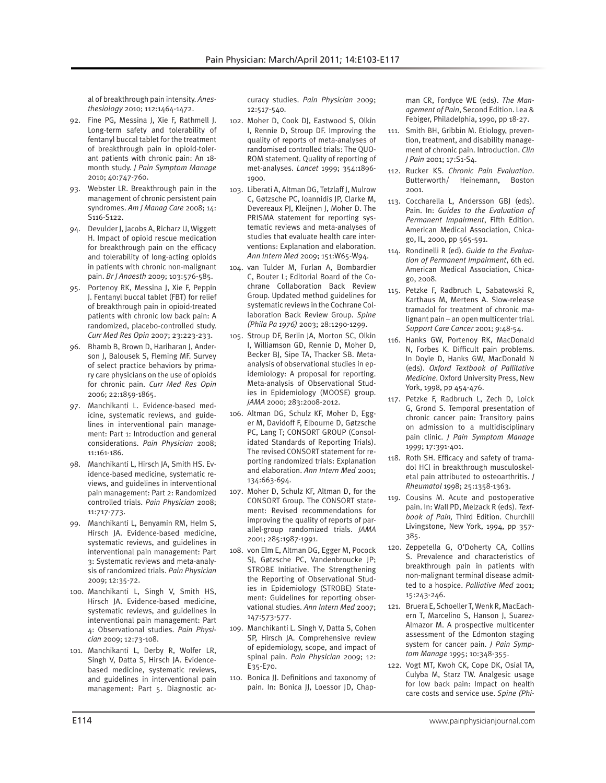al of breakthrough pain intensity. *Anesthesiology* 2010; 112:1464-1472.

- 92. Fine PG, Messina J, Xie F, Rathmell J. Long-term safety and tolerability of fentanyl buccal tablet for the treatment of breakthrough pain in opioid-tolerant patients with chronic pain: An 18 month study. *J Pain Symptom Manage* 2010; 40:747-760.
- 93. Webster LR. Breakthrough pain in the management of chronic persistent pain syndromes. *Am J Manag Care* 2008; 14: S116-S122.
- 94. Devulder J, Jacobs A, Richarz U, Wiggett H. Impact of opioid rescue medication for breakthrough pain on the efficacy and tolerability of long-acting opioids in patients with chronic non-malignant pain. *Br J Anaesth* 2009; 103:576-585.
- 95. Portenoy RK, Messina J, Xie F, Peppin J. Fentanyl buccal tablet (FBT) for relief of breakthrough pain in opioid-treated patients with chronic low back pain: A randomized, placebo-controlled study. *Curr Med Res Opin* 2007; 23:223-233.
- 96. Bhamb B, Brown D, Hariharan J, Anderson J, Balousek S, Fleming MF. Survey of select practice behaviors by primary care physicians on the use of opioids for chronic pain. *Curr Med Res Opin* 2006; 22:1859-1865.
- 97. Manchikanti L. Evidence-based medicine, systematic reviews, and guidelines in interventional pain management: Part 1: Introduction and general considerations. *Pain Physician* 2008; 11:161-186.
- 98. Manchikanti L, Hirsch JA, Smith HS. Evidence-based medicine, systematic reviews, and guidelines in interventional pain management: Part 2: Randomized controlled trials. *Pain Physician* 2008; 11:717-773.
- 99. Manchikanti L, Benyamin RM, Helm S, Hirsch JA. Evidence-based medicine, systematic reviews, and guidelines in interventional pain management: Part 3: Systematic reviews and meta-analysis of randomized trials. *Pain Physician* 2009; 12:35-72.
- 100. Manchikanti L, Singh V, Smith HS, Hirsch JA. Evidence-based medicine, systematic reviews, and guidelines in interventional pain management: Part 4: Observational studies. *Pain Physician* 2009; 12:73-108.
- 101. Manchikanti L, Derby R, Wolfer LR, Singh V, Datta S, Hirsch JA. Evidencebased medicine, systematic reviews, and guidelines in interventional pain management: Part 5. Diagnostic ac-

curacy studies. *Pain Physician* 2009; 12:517-540.

- 102. Moher D, Cook DJ, Eastwood S, Olkin I, Rennie D, Stroup DF. Improving the quality of reports of meta-analyses of randomised controlled trials: The QUO-ROM statement. Quality of reporting of met-analyses. *Lancet* 1999; 354:1896- 1900.
- 103. Liberati A, Altman DG, Tetzlaff J, Mulrow C, Gøtzsche PC, Ioannidis JP, Clarke M, Devereaux PJ, Kleijnen J, Moher D. The PRISMA statement for reporting systematic reviews and meta-analyses of studies that evaluate health care interventions: Explanation and elaboration. *Ann Intern Med* 2009; 151:W65-W94.
- 104. van Tulder M, Furlan A, Bombardier C, Bouter L; Editorial Board of the Cochrane Collaboration Back Review Group. Updated method guidelines for systematic reviews in the Cochrane Collaboration Back Review Group. *Spine (Phila Pa 1976)* 2003; 28:1290-1299.
- 105. Stroup DF, Berlin JA, Morton SC, Olkin I, Williamson GD, Rennie D, Moher D, Becker BJ, Sipe TA, Thacker SB. Metaanalysis of observational studies in epidemiology: A proposal for reporting. Meta-analysis of Observational Studies in Epidemiology (MOOSE) group. *JAMA* 2000; 283:2008-2012.
- 106. Altman DG, Schulz KF, Moher D, Egger M, Davidoff F, Elbourne D, Gøtzsche PC, Lang T; CONSORT GROUP (Consolidated Standards of Reporting Trials). The revised CONSORT statement for reporting randomized trials: Explanation and elaboration. *Ann Intern Med* 2001; 134:663-694.
- 107. Moher D, Schulz KF, Altman D, for the CONSORT Group. The CONSORT statement: Revised recommendations for improving the quality of reports of parallel-group randomized trials. *JAMA* 2001; 285:1987-1991.
- 108. von Elm E, Altman DG, Egger M, Pocock SJ, Gøtzsche PC, Vandenbroucke JP; STROBE Initiative. The Strengthening the Reporting of Observational Studies in Epidemiology (STROBE) Statement: Guidelines for reporting observational studies. *Ann Intern Med* 2007; 147:573-577.
- 109. Manchikanti L. Singh V, Datta S, Cohen SP, Hirsch JA. Comprehensive review of epidemiology, scope, and impact of spinal pain. *Pain Physician* 2009; 12: E35-E70.
- 110. Bonica JJ. Definitions and taxonomy of pain. In: Bonica JJ, Loessor JD, Chap-

man CR, Fordyce WE (eds). *The Management of Pain*, Second Edition. Lea & Febiger, Philadelphia, 1990, pp 18-27.

- 111. Smith BH, Gribbin M. Etiology, prevention, treatment, and disability management of chronic pain. Introduction. *Clin J Pain* 2001; 17:S1-S4.
- 112. Rucker KS. *Chronic Pain Evaluation*. Butterworth/ Heinemann, Boston 2001.
- 113. Coccharella L, Andersson GBJ (eds). Pain. In: *Guides to the Evaluation of Permanent Impairment*, Fifth Edition. American Medical Association, Chicago, IL, 2000, pp 565-591.
- 114. Rondinelli R (ed). *Guide to the Evaluation of Permanent Impairment*, 6th ed. American Medical Association, Chicago, 2008.
- 115. Petzke F, Radbruch L, Sabatowski R, Karthaus M, Mertens A. Slow-release tramadol for treatment of chronic malignant pain – an open multicenter trial. *Support Care Cancer* 2001; 9:48-54.
- 116. Hanks GW, Portenoy RK, MacDonald N, Forbes K. Difficult pain problems. In Doyle D, Hanks GW, MacDonald N (eds). *Oxford Textbook of Pallitative Medicine*. Oxford University Press, New York, 1998, pp 454-476.
- 117. Petzke F, Radbruch L, Zech D, Loick G, Grond S. Temporal presentation of chronic cancer pain: Transitory pains on admission to a multidisciplinary pain clinic. *J Pain Symptom Manage* 1999; 17:391-401.
- 118. Roth SH. Efficacy and safety of tramadol HCl in breakthrough musculoskeletal pain attributed to osteoarthritis. *J Rheumatol* 1998; 25:1358-1363.
- 119. Cousins M. Acute and postoperative pain. In: Wall PD, Melzack R (eds). *Textbook of Pain,* Third Edition. Churchill Livingstone, New York, 1994, pp 357- 385.
- 120. Zeppetella G, O'Doherty CA, Collins S. Prevalence and characteristics of breakthrough pain in patients with non-malignant terminal disease admitted to a hospice. *Palliative Med* 2001; 15:243-246.
- 121. Bruera E, Schoeller T, Wenk R, MacEachern T, Marcelino S, Hanson J, Suarez-Almazor M. A prospective multicenter assessment of the Edmonton staging system for cancer pain. *J Pain Symptom Manage* 1995; 10:348-355.
- 122. Vogt MT, Kwoh CK, Cope DK, Osial TA, Culyba M, Starz TW. Analgesic usage for low back pain: Impact on health care costs and service use. *Spine (Phi-*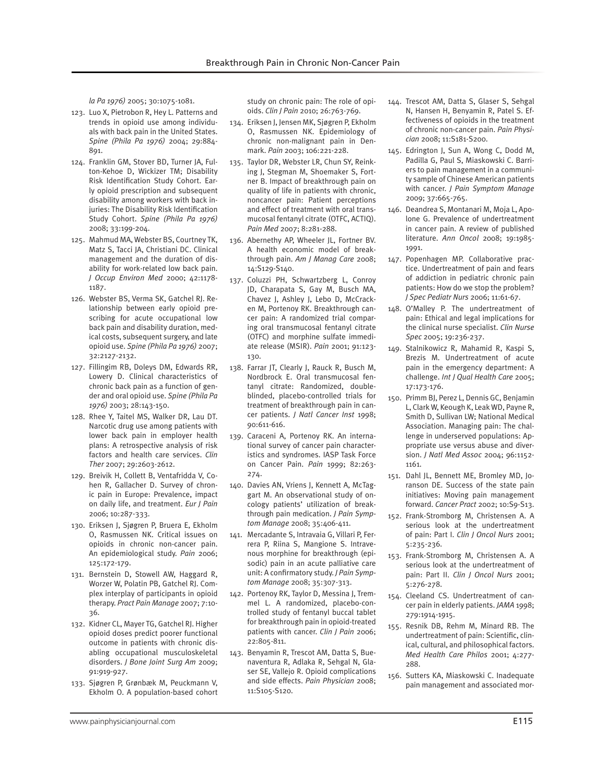*la Pa 1976)* 2005; 30:1075-1081.

- 123. Luo X, Pietrobon R, Hey L. Patterns and trends in opioid use among individuals with back pain in the United States. *Spine (Phila Pa 1976)* 2004; 29:884- 891.
- 124. Franklin GM, Stover BD, Turner JA, Fulton-Kehoe D, Wickizer TM; Disability Risk Identification Study Cohort. Early opioid prescription and subsequent disability among workers with back injuries: The Disability Risk Identification Study Cohort. *Spine (Phila Pa 1976)* 2008; 33:199-204.
- 125. Mahmud MA, Webster BS, Courtney TK, Matz S, Tacci JA, Christiani DC. Clinical management and the duration of disability for work-related low back pain. *J Occup Environ Med* 2000; 42:1178- 1187.
- 126. Webster BS, Verma SK, Gatchel RJ. Relationship between early opioid prescribing for acute occupational low back pain and disability duration, medical costs, subsequent surgery, and late opioid use. *Spine (Phila Pa 1976)* 2007; 32:2127-2132.
- 127. Fillingim RB, Doleys DM, Edwards RR, Lowery D. Clinical characteristics of chronic back pain as a function of gender and oral opioid use. *Spine (Phila Pa 1976)* 2003; 28:143-150.
- 128. Rhee Y, Taitel MS, Walker DR, Lau DT. Narcotic drug use among patients with lower back pain in employer health plans: A retrospective analysis of risk factors and health care services. *Clin Ther* 2007; 29:2603-2612.
- 129. Breivik H, Collett B, Ventafridda V, Cohen R, Gallacher D. Survey of chronic pain in Europe: Prevalence, impact on daily life, and treatment. *Eur J Pain*  2006; 10:287-333.
- 130. Eriksen J, Sjøgren P, Bruera E, Ekholm O, Rasmussen NK. Critical issues on opioids in chronic non-cancer pain. An epidemiological study. *Pain* 2006; 125:172-179.
- 131. Bernstein D, Stowell AW, Haggard R, Worzer W, Polatin PB, Gatchel RJ. Complex interplay of participants in opioid therapy. *Pract Pain Manage* 2007; 7:10- 36.
- 132. Kidner CL, Mayer TG, Gatchel RJ. Higher opioid doses predict poorer functional outcome in patients with chronic disabling occupational musculoskeletal disorders. *J Bone Joint Surg Am* 2009; 91:919-927.
- 133. Sjøgren P, Grønbæk M, Peuckmann V, Ekholm O. A population-based cohort

study on chronic pain: The role of opioids. *Clin J Pain* 2010; 26:763-769.

- 134. Eriksen J, Jensen MK, Sjøgren P, Ekholm O, Rasmussen NK. Epidemiology of chronic non-malignant pain in Denmark. *Pain* 2003; 106:221-228.
- 135. Taylor DR, Webster LR, Chun SY, Reinking J, Stegman M, Shoemaker S, Fortner B. Impact of breakthrough pain on quality of life in patients with chronic, noncancer pain: Patient perceptions and effect of treatment with oral transmucosal fentanyl citrate (OTFC, ACTIQ). *Pain Med* 2007; 8:281-288.
- 136. Abernethy AP, Wheeler JL, Fortner BV. A health economic model of breakthrough pain. *Am J Manag Care* 2008; 14:S129-S140.
- 137. Coluzzi PH, Schwartzberg L, Conroy JD, Charapata S, Gay M, Busch MA, Chavez J, Ashley J, Lebo D, McCracken M, Portenoy RK. Breakthrough cancer pain: A randomized trial comparing oral transmucosal fentanyl citrate (OTFC) and morphine sulfate immediate release (MSIR). *Pain* 2001; 91:123- 130.
- 138. Farrar JT, Clearly J, Rauck R, Busch M, Nordbrock E. Oral transmucosal fentanyl citrate: Randomized, doubleblinded, placebo-controlled trials for treatment of breakthrough pain in cancer patients. *J Natl Cancer Inst* 1998; 90:611-616.
- 139. Caraceni A, Portenoy RK. An international survey of cancer pain characteristics and syndromes. IASP Task Force on Cancer Pain. *Pain* 1999; 82:263- 274.
- 140. Davies AN, Vriens J, Kennett A, McTaggart M. An observational study of oncology patients' utilization of breakthrough pain medication. *J Pain Symptom Manage* 2008; 35:406-411.
- 141. Mercadante S, Intravaia G, Villari P, Ferrera P, Riina S, Mangione S. Intravenous morphine for breakthrough (episodic) pain in an acute palliative care unit: A confirmatory study. *J Pain Symptom Manage* 2008; 35:307-313.
- 142. Portenoy RK, Taylor D, Messina J, Tremmel L. A randomized, placebo-controlled study of fentanyl buccal tablet for breakthrough pain in opioid-treated patients with cancer. *Clin J Pain* 2006; 22:805-811.
- 143. Benyamin R, Trescot AM, Datta S, Buenaventura R, Adlaka R, Sehgal N, Glaser SE, Vallejo R. Opioid complications and side effects. *Pain Physician* 2008; 11:S105-S120.
- 144. Trescot AM, Datta S, Glaser S, Sehgal N, Hansen H, Benyamin R, Patel S. Effectiveness of opioids in the treatment of chronic non-cancer pain. *Pain Physician* 2008; 11:S181-S200.
- 145. Edrington J, Sun A, Wong C, Dodd M, Padilla G, Paul S, Miaskowski C. Barriers to pain management in a community sample of Chinese American patients with cancer. *J Pain Symptom Manage* 2009; 37:665-765.
- 146. Deandrea S, Montanari M, Moja L, Apolone G. Prevalence of undertreatment in cancer pain. A review of published literature. *Ann Oncol* 2008; 19:1985- 1991.
- 147. Popenhagen MP. Collaborative practice. Undertreatment of pain and fears of addiction in pediatric chronic pain patients: How do we stop the problem? *J Spec Pediatr Nurs* 2006; 11:61-67.
- 148. O'Malley P. The undertreatment of pain: Ethical and legal implications for the clinical nurse specialist. *Clin Nurse Spec* 2005; 19:236-237.
- 149. Stalnikowicz R, Mahamid R, Kaspi S, Brezis M. Undertreatment of acute pain in the emergency department: A challenge. *Int J Qual Health Care* 2005; 17:173-176.
- 150. Primm BJ, Perez L, Dennis GC, Benjamin L, Clark W, Keough K, Leak WD, Payne R, Smith D, Sullivan LW; National Medical Association. Managing pain: The challenge in underserved populations: Appropriate use versus abuse and diversion. *J Natl Med Assoc* 2004; 96:1152- 1161.
- 151. Dahl JL, Bennett ME, Bromley MD, Joranson DE. Success of the state pain initiatives: Moving pain management forward. *Cancer Pract* 2002; 10:S9-S13.
- 152. Frank-Stromborg M, Christensen A. A serious look at the undertreatment of pain: Part I. *Clin J Oncol Nurs* 2001; 5:235-236.
- 153. Frank-Stromborg M, Christensen A. A serious look at the undertreatment of pain: Part II. *Clin J Oncol Nurs* 2001; 5:276-278.
- 154. Cleeland CS. Undertreatment of cancer pain in elderly patients. *JAMA* 1998; 279:1914-1915.
- 155. Resnik DB, Rehm M, Minard RB. The undertreatment of pain: Scientific, clinical, cultural, and philosophical factors. *Med Health Care Philos* 2001; 4:277- 288.
- 156. Sutters KA, Miaskowski C. Inadequate pain management and associated mor-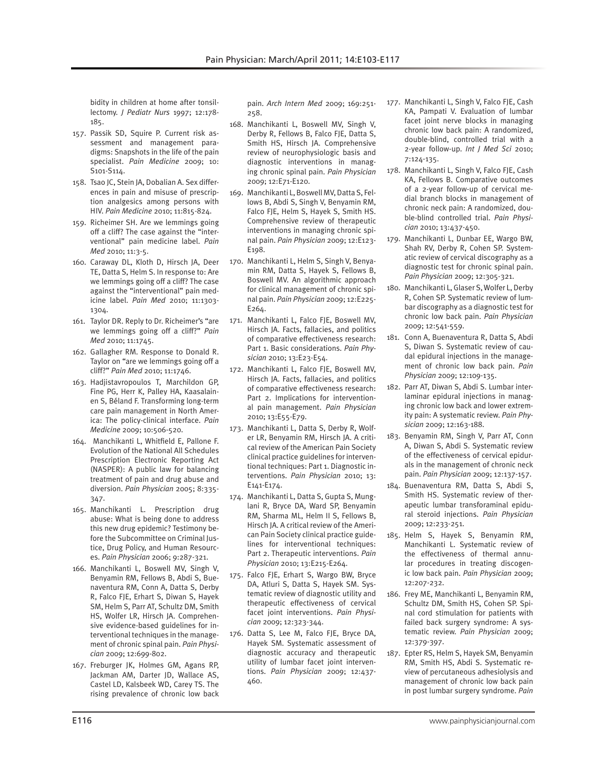bidity in children at home after tonsillectomy. *J Pediatr Nurs* 1997; 12:178- 185.

- 157. Passik SD, Squire P. Current risk assessment and management paradigms: Snapshots in the life of the pain specialist. *Pain Medicine* 2009; 10: S101-S114.
- 158. Tsao JC, Stein JA, Dobalian A. Sex differences in pain and misuse of prescription analgesics among persons with HIV. *Pain Medicine* 2010; 11:815-824.
- 159. Richeimer SH. Are we lemmings going off a cliff? The case against the "interventional" pain medicine label. *Pain Med* 2010; 11:3-5.
- 160. Caraway DL, Kloth D, Hirsch JA, Deer TE, Datta S, Helm S. In response to: Are we lemmings going off a cliff? The case against the "interventional" pain medicine label. *Pain Med* 2010; 11:1303- 1304.
- 161. Taylor DR. Reply to Dr. Richeimer's "are we lemmings going off a cliff?" *Pain Med* 2010; 11:1745.
- 162. Gallagher RM. Response to Donald R. Taylor on "are we lemmings going off a cliff?" *Pain Med* 2010; 11:1746.
- 163. Hadjistavropoulos T, Marchildon GP, Fine PG, Herr K, Palley HA, Kaasalainen S, Béland F. Transforming long-term care pain management in North America: The policy-clinical interface. *Pain Medicine* 2009; 10:506-520.
- 164. Manchikanti L, Whitfield E, Pallone F. Evolution of the National All Schedules Prescription Electronic Reporting Act (NASPER): A public law for balancing treatment of pain and drug abuse and diversion. *Pain Physician* 2005; 8:335- 347.
- 165. Manchikanti L. Prescription drug abuse: What is being done to address this new drug epidemic? Testimony before the Subcommittee on Criminal Justice, Drug Policy, and Human Resources. *Pain Physician* 2006; 9:287-321.
- 166. Manchikanti L, Boswell MV, Singh V, Benyamin RM, Fellows B, Abdi S, Buenaventura RM, Conn A, Datta S, Derby R, Falco FJE, Erhart S, Diwan S, Hayek SM, Helm S, Parr AT, Schultz DM, Smith HS, Wolfer LR, Hirsch JA. Comprehensive evidence-based guidelines for interventional techniques in the management of chronic spinal pain. *Pain Physician* 2009; 12:699-802.
- 167. Freburger JK, Holmes GM, Agans RP, Jackman AM, Darter JD, Wallace AS, Castel LD, Kalsbeek WD, Carey TS. The rising prevalence of chronic low back

pain. *Arch Intern Med* 2009; 169:251- 258.

- 168. Manchikanti L, Boswell MV, Singh V, Derby R, Fellows B, Falco FJE, Datta S, Smith HS, Hirsch JA. Comprehensive review of neurophysiologic basis and diagnostic interventions in managing chronic spinal pain. *Pain Physician* 2009; 12:E71-E120.
- 169. Manchikanti L, Boswell MV, Datta S, Fellows B, Abdi S, Singh V, Benyamin RM, Falco FJE, Helm S, Hayek S, Smith HS. Comprehensive review of therapeutic interventions in managing chronic spinal pain. *Pain Physician* 2009; 12:E123- E198.
- 170. Manchikanti L, Helm S, Singh V, Benyamin RM, Datta S, Hayek S, Fellows B, Boswell MV. An algorithmic approach for clinical management of chronic spinal pain. *Pain Physician* 2009; 12:E225- E264.
- 171. Manchikanti L, Falco FJE, Boswell MV, Hirsch JA. Facts, fallacies, and politics of comparative effectiveness research: Part 1. Basic considerations. *Pain Physician* 2010; 13:E23-E54.
- 172. Manchikanti L, Falco FJE, Boswell MV, Hirsch JA. Facts, fallacies, and politics of comparative effectiveness research: Part 2. Implications for interventional pain management. *Pain Physician* 2010; 13:E55-E79.
- 173. Manchikanti L, Datta S, Derby R, Wolfer LR, Benyamin RM, Hirsch JA. A critical review of the American Pain Society clinical practice guidelines for interventional techniques: Part 1. Diagnostic interventions. *Pain Physician* 2010; 13: E141-E174.
- 174. Manchikanti L, Datta S, Gupta S, Munglani R, Bryce DA, Ward SP, Benyamin RM, Sharma ML, Helm II S, Fellows B, Hirsch JA. A critical review of the American Pain Society clinical practice guidelines for interventional techniques: Part 2. Therapeutic interventions. *Pain Physician* 2010; 13:E215-E264.
- 175. Falco FJE, Erhart S, Wargo BW, Bryce DA, Atluri S, Datta S, Hayek SM. Systematic review of diagnostic utility and therapeutic effectiveness of cervical facet joint interventions. *Pain Physician* 2009; 12:323-344.
- 176. Datta S, Lee M, Falco FJE, Bryce DA, Hayek SM. Systematic assessment of diagnostic accuracy and therapeutic utility of lumbar facet joint interventions. *Pain Physician* 2009; 12:437- 460.
- 177. Manchikanti L, Singh V, Falco FJE, Cash KA, Pampati V. Evaluation of lumbar facet joint nerve blocks in managing chronic low back pain: A randomized, double-blind, controlled trial with a 2-year follow-up. *Int J Med Sci* 2010; 7:124-135.
- 178. Manchikanti L, Singh V, Falco FJE, Cash KA, Fellows B. Comparative outcomes of a 2-year follow-up of cervical medial branch blocks in management of chronic neck pain: A randomized, double-blind controlled trial. *Pain Physician* 2010; 13:437-450.
- 179. Manchikanti L, Dunbar EE, Wargo BW, Shah RV, Derby R, Cohen SP. Systematic review of cervical discography as a diagnostic test for chronic spinal pain. *Pain Physician* 2009; 12:305-321.
- 180. Manchikanti L, Glaser S, Wolfer L, Derby R, Cohen SP. Systematic review of lumbar discography as a diagnostic test for chronic low back pain. *Pain Physician* 2009; 12:541-559.
- 181. Conn A, Buenaventura R, Datta S, Abdi S, Diwan S. Systematic review of caudal epidural injections in the management of chronic low back pain. *Pain Physician* 2009; 12:109-135.
- 182. Parr AT, Diwan S, Abdi S. Lumbar interlaminar epidural injections in managing chronic low back and lower extremity pain: A systematic review. *Pain Physician* 2009; 12:163-188.
- 183. Benyamin RM, Singh V, Parr AT, Conn A, Diwan S, Abdi S. Systematic review of the effectiveness of cervical epidurals in the management of chronic neck pain. *Pain Physician* 2009; 12:137-157.
- 184. Buenaventura RM, Datta S, Abdi S, Smith HS. Systematic review of therapeutic lumbar transforaminal epidural steroid injections. *Pain Physician* 2009; 12:233-251.
- 185. Helm S, Hayek S, Benyamin RM, Manchikanti L. Systematic review of the effectiveness of thermal annular procedures in treating discogenic low back pain. *Pain Physician* 2009; 12:207-232.
- 186. Frey ME, Manchikanti L, Benyamin RM, Schultz DM, Smith HS, Cohen SP. Spinal cord stimulation for patients with failed back surgery syndrome: A systematic review. *Pain Physician* 2009; 12:379-397.
- 187. Epter RS, Helm S, Hayek SM, Benyamin RM, Smith HS, Abdi S. Systematic review of percutaneous adhesiolysis and management of chronic low back pain in post lumbar surgery syndrome. *Pain*